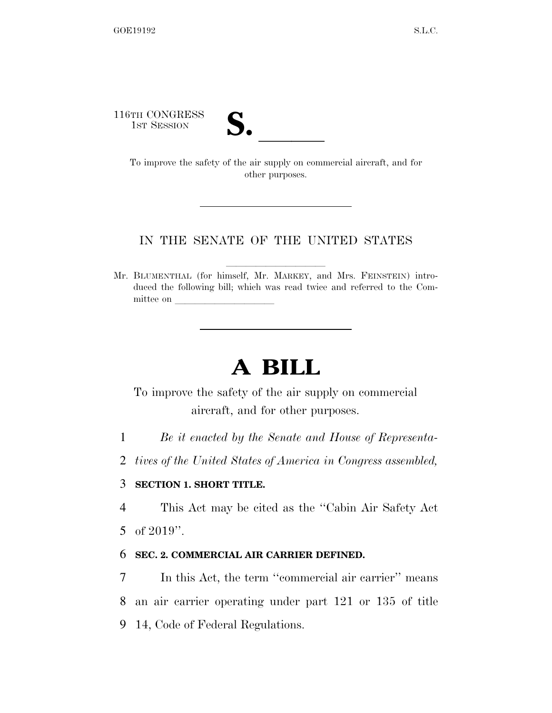116TH CONGRESS

TH CONGRESS<br>
1st Session<br>
To improve the safety of the air supply on commercial aircraft, and for other purposes.

### IN THE SENATE OF THE UNITED STATES

Mr. BLUMENTHAL (for himself, Mr. MARKEY, and Mrs. FEINSTEIN) introduced the following bill; which was read twice and referred to the Committee on

# **A BILL**

To improve the safety of the air supply on commercial aircraft, and for other purposes.

1 *Be it enacted by the Senate and House of Representa-*

2 *tives of the United States of America in Congress assembled,* 

### 3 **SECTION 1. SHORT TITLE.**

4 This Act may be cited as the ''Cabin Air Safety Act 5 of 2019''.

### 6 **SEC. 2. COMMERCIAL AIR CARRIER DEFINED.**

7 In this Act, the term ''commercial air carrier'' means 8 an air carrier operating under part 121 or 135 of title 9 14, Code of Federal Regulations.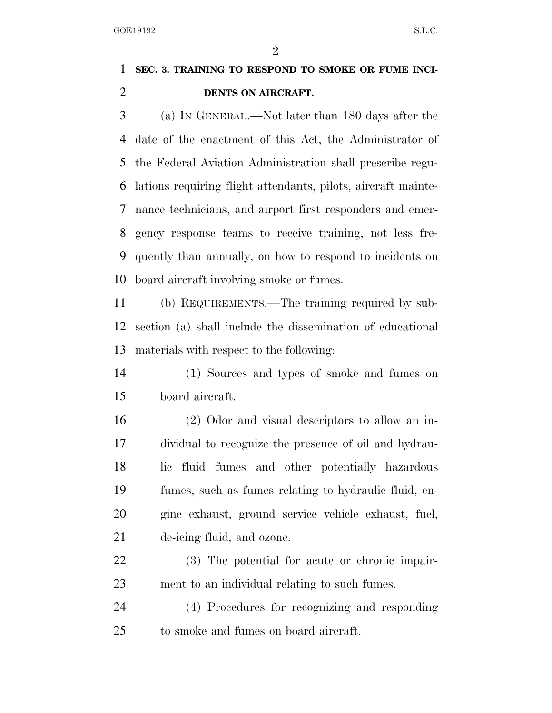$\mathfrak{D}$ 

# **SEC. 3. TRAINING TO RESPOND TO SMOKE OR FUME INCI-DENTS ON AIRCRAFT.**

 (a) IN GENERAL.—Not later than 180 days after the date of the enactment of this Act, the Administrator of the Federal Aviation Administration shall prescribe regu- lations requiring flight attendants, pilots, aircraft mainte- nance technicians, and airport first responders and emer- gency response teams to receive training, not less fre- quently than annually, on how to respond to incidents on board aircraft involving smoke or fumes.

 (b) REQUIREMENTS.—The training required by sub- section (a) shall include the dissemination of educational materials with respect to the following:

 (1) Sources and types of smoke and fumes on board aircraft.

 (2) Odor and visual descriptors to allow an in- dividual to recognize the presence of oil and hydrau- lic fluid fumes and other potentially hazardous fumes, such as fumes relating to hydraulic fluid, en- gine exhaust, ground service vehicle exhaust, fuel, de-icing fluid, and ozone.

 (3) The potential for acute or chronic impair-ment to an individual relating to such fumes.

 (4) Procedures for recognizing and responding to smoke and fumes on board aircraft.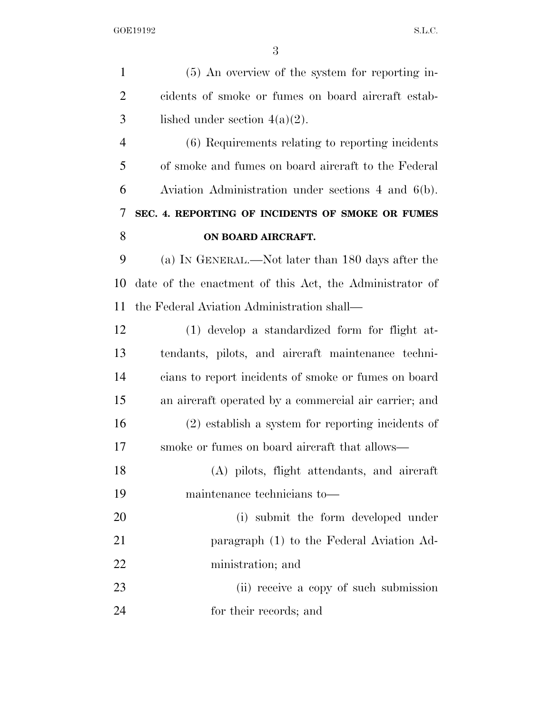(5) An overview of the system for reporting in- cidents of smoke or fumes on board aircraft estab-3 lished under section  $4(a)(2)$ . (6) Requirements relating to reporting incidents of smoke and fumes on board aircraft to the Federal Aviation Administration under sections 4 and 6(b). **SEC. 4. REPORTING OF INCIDENTS OF SMOKE OR FUMES ON BOARD AIRCRAFT.**  (a) IN GENERAL.—Not later than 180 days after the date of the enactment of this Act, the Administrator of the Federal Aviation Administration shall— (1) develop a standardized form for flight at- tendants, pilots, and aircraft maintenance techni- cians to report incidents of smoke or fumes on board an aircraft operated by a commercial air carrier; and (2) establish a system for reporting incidents of smoke or fumes on board aircraft that allows— (A) pilots, flight attendants, and aircraft maintenance technicians to— (i) submit the form developed under paragraph (1) to the Federal Aviation Ad- ministration; and (ii) receive a copy of such submission for their records; and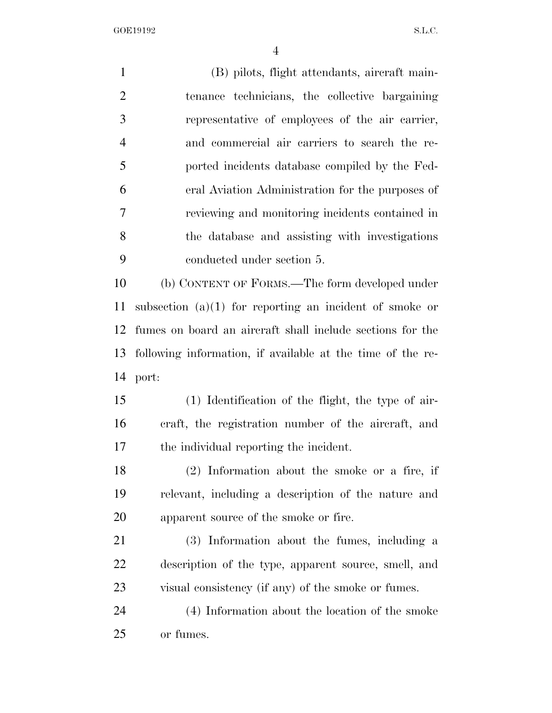GOE19192 S.L.C.

 (B) pilots, flight attendants, aircraft main- tenance technicians, the collective bargaining representative of employees of the air carrier, and commercial air carriers to search the re- ported incidents database compiled by the Fed- eral Aviation Administration for the purposes of reviewing and monitoring incidents contained in the database and assisting with investigations conducted under section 5. (b) CONTENT OF FORMS.—The form developed under subsection (a)(1) for reporting an incident of smoke or fumes on board an aircraft shall include sections for the following information, if available at the time of the re- port: (1) Identification of the flight, the type of air- craft, the registration number of the aircraft, and the individual reporting the incident. (2) Information about the smoke or a fire, if relevant, including a description of the nature and apparent source of the smoke or fire. (3) Information about the fumes, including a description of the type, apparent source, smell, and visual consistency (if any) of the smoke or fumes. (4) Information about the location of the smoke or fumes.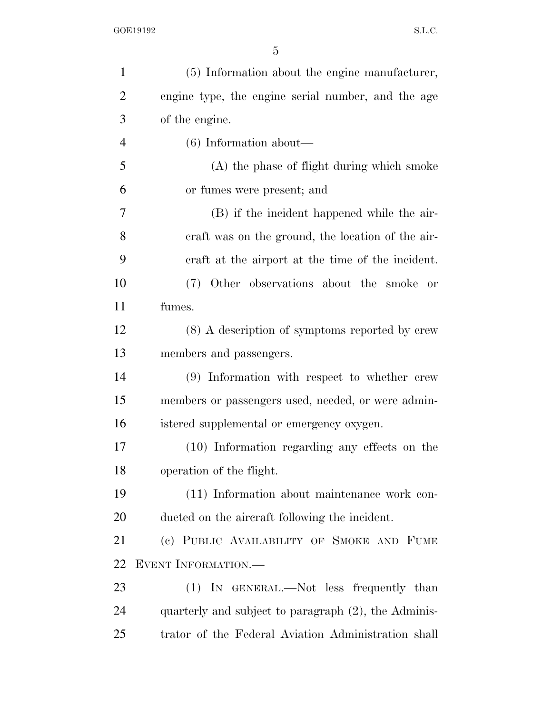| $\mathbf{1}$   | (5) Information about the engine manufacturer,       |
|----------------|------------------------------------------------------|
| $\overline{2}$ | engine type, the engine serial number, and the age   |
| 3              | of the engine.                                       |
| $\overline{4}$ | $(6)$ Information about—                             |
| 5              | (A) the phase of flight during which smoke           |
| 6              | or fumes were present; and                           |
| 7              | (B) if the incident happened while the air-          |
| 8              | eraft was on the ground, the location of the air-    |
| 9              | eraft at the airport at the time of the incident.    |
| 10             | (7) Other observations about the smoke or            |
| 11             | fumes.                                               |
| 12             | (8) A description of symptoms reported by crew       |
| 13             | members and passengers.                              |
| 14             | (9) Information with respect to whether crew         |
| 15             | members or passengers used, needed, or were admin-   |
| 16             | istered supplemental or emergency oxygen.            |
| 17             | (10) Information regarding any effects on the        |
| 18             | operation of the flight.                             |
| 19             | (11) Information about maintenance work con-         |
| <b>20</b>      | ducted on the aircraft following the incident.       |
| 21             | (c) PUBLIC AVAILABILITY OF SMOKE AND FUME            |
| 22             | <b>EVENT INFORMATION.—</b>                           |
| 23             | (1) IN GENERAL.—Not less frequently than             |
| 24             | quarterly and subject to paragraph (2), the Adminis- |
| 25             | trator of the Federal Aviation Administration shall  |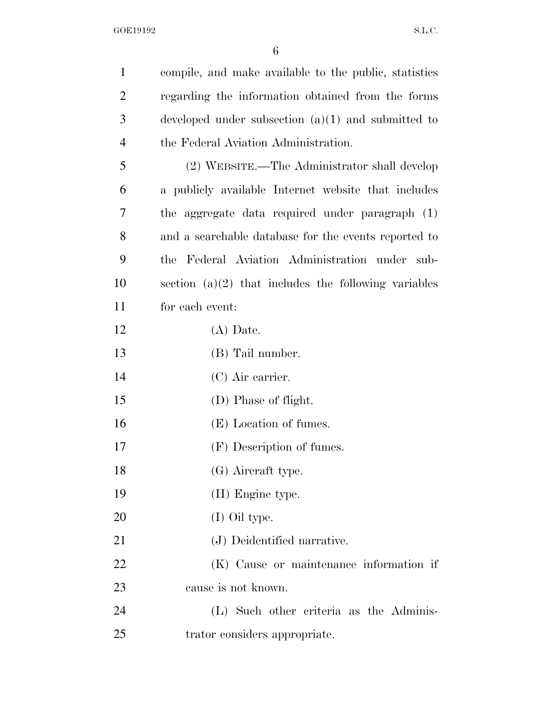| $\mathbf{1}$   | compile, and make available to the public, statistics  |
|----------------|--------------------------------------------------------|
| $\overline{2}$ | regarding the information obtained from the forms      |
| 3              | developed under subsection $(a)(1)$ and submitted to   |
| $\overline{4}$ | the Federal Aviation Administration.                   |
| 5              | (2) WEBSITE.—The Administrator shall develop           |
| 6              | a publicly available Internet website that includes    |
| 7              | the aggregate data required under paragraph (1)        |
| 8              | and a searchable database for the events reported to   |
| 9              | the Federal Aviation Administration under sub-         |
| 10             | section $(a)(2)$ that includes the following variables |
| 11             | for each event:                                        |
| 12             | $(A)$ Date.                                            |
| 13             | (B) Tail number.                                       |
| 14             | $(C)$ Air carrier.                                     |
| 15             | (D) Phase of flight.                                   |
| 16             | (E) Location of fumes.                                 |
| 17             | (F) Description of fumes.                              |
| 18             | (G) Aircraft type.                                     |
| 19             | (H) Engine type.                                       |
| 20             | (I) Oil type.                                          |
| 21             | (J) Deidentified narrative.                            |
| 22             | (K) Cause or maintenance information if                |
| 23             | cause is not known.                                    |
| 24             | (L) Such other criteria as the Adminis-                |
| 25             | trator considers appropriate.                          |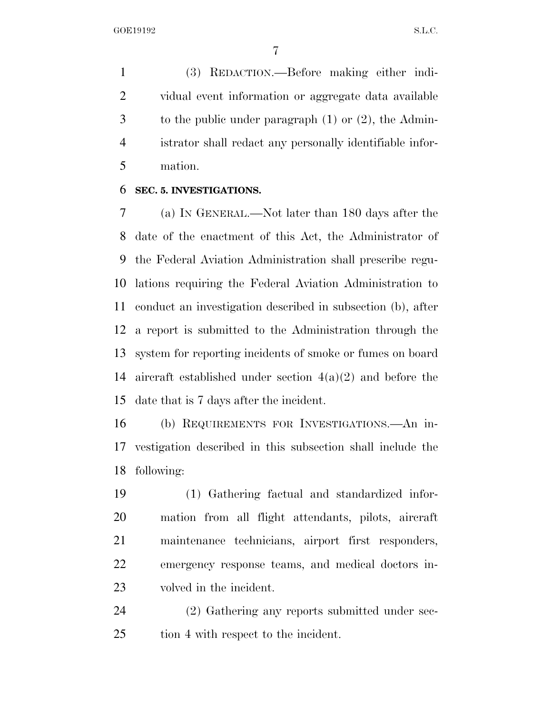(3) REDACTION.—Before making either indi- vidual event information or aggregate data available to the public under paragraph (1) or (2), the Admin- istrator shall redact any personally identifiable infor-mation.

#### **SEC. 5. INVESTIGATIONS.**

 (a) IN GENERAL.—Not later than 180 days after the date of the enactment of this Act, the Administrator of the Federal Aviation Administration shall prescribe regu- lations requiring the Federal Aviation Administration to conduct an investigation described in subsection (b), after a report is submitted to the Administration through the system for reporting incidents of smoke or fumes on board aircraft established under section 4(a)(2) and before the date that is 7 days after the incident.

 (b) REQUIREMENTS FOR INVESTIGATIONS.—An in- vestigation described in this subsection shall include the following:

 (1) Gathering factual and standardized infor- mation from all flight attendants, pilots, aircraft maintenance technicians, airport first responders, emergency response teams, and medical doctors in-volved in the incident.

 (2) Gathering any reports submitted under sec-tion 4 with respect to the incident.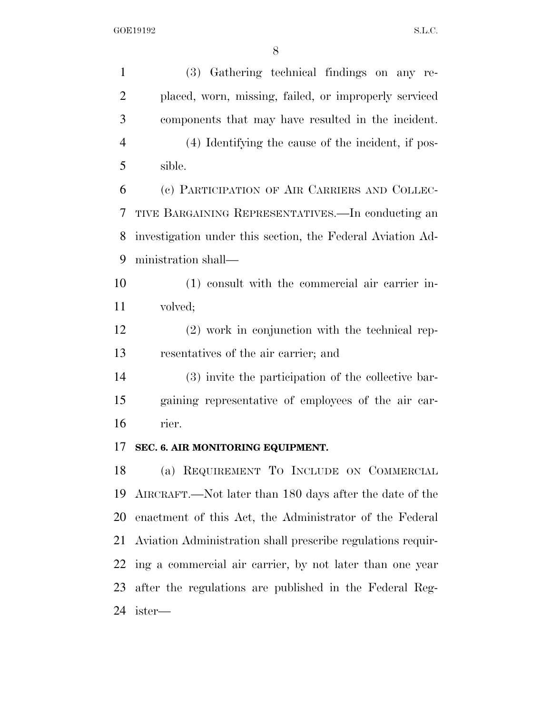(3) Gathering technical findings on any re- placed, worn, missing, failed, or improperly serviced components that may have resulted in the incident. (4) Identifying the cause of the incident, if pos- sible. (c) PARTICIPATION OF AIR CARRIERS AND COLLEC- TIVE BARGAINING REPRESENTATIVES.—In conducting an investigation under this section, the Federal Aviation Ad- ministration shall— (1) consult with the commercial air carrier in- volved; (2) work in conjunction with the technical rep- resentatives of the air carrier; and (3) invite the participation of the collective bar- gaining representative of employees of the air car- rier. **SEC. 6. AIR MONITORING EQUIPMENT.**  (a) REQUIREMENT TO INCLUDE ON COMMERCIAL AIRCRAFT.—Not later than 180 days after the date of the enactment of this Act, the Administrator of the Federal Aviation Administration shall prescribe regulations requir- ing a commercial air carrier, by not later than one year after the regulations are published in the Federal Reg-ister—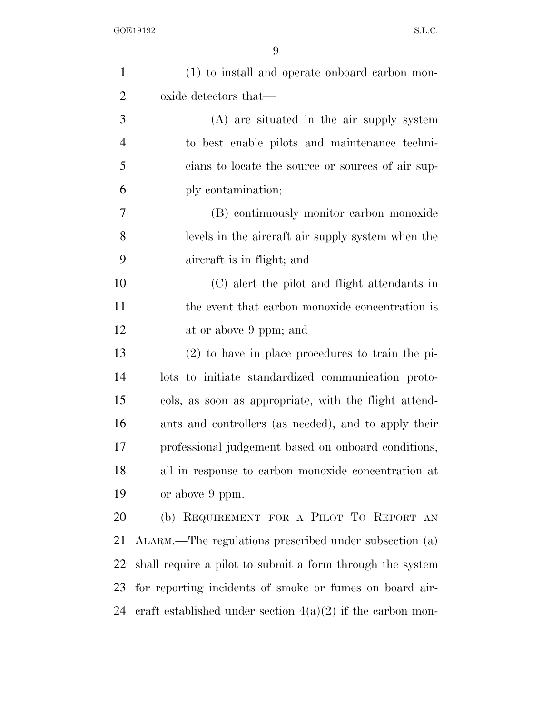| $\mathbf{1}$   | (1) to install and operate onboard carbon mon-               |
|----------------|--------------------------------------------------------------|
| $\overline{2}$ | oxide detectors that—                                        |
| 3              | (A) are situated in the air supply system                    |
| $\overline{4}$ | to best enable pilots and maintenance techni-                |
| 5              | cians to locate the source or sources of air sup-            |
| 6              | ply contamination;                                           |
| $\overline{7}$ | (B) continuously monitor carbon monoxide                     |
| 8              | levels in the aircraft air supply system when the            |
| 9              | aircraft is in flight; and                                   |
| 10             | (C) alert the pilot and flight attendants in                 |
| 11             | the event that carbon monoxide concentration is              |
| 12             | at or above 9 ppm; and                                       |
| 13             | $(2)$ to have in place procedures to train the pi-           |
| 14             | lots to initiate standardized communication proto-           |
| 15             | cols, as soon as appropriate, with the flight attend-        |
| 16             | ants and controllers (as needed), and to apply their         |
| 17             | professional judgement based on onboard conditions,          |
| 18             | all in response to carbon monoxide concentration at          |
| 19             | or above 9 ppm.                                              |
| 20             | (b) REQUIREMENT FOR A PILOT TO REPORT AN                     |
| 21             | ALARM.—The regulations prescribed under subsection (a)       |
| 22             | shall require a pilot to submit a form through the system    |
| 23             | for reporting incidents of smoke or fumes on board air-      |
| 24             | eraft established under section $4(a)(2)$ if the carbon mon- |
|                |                                                              |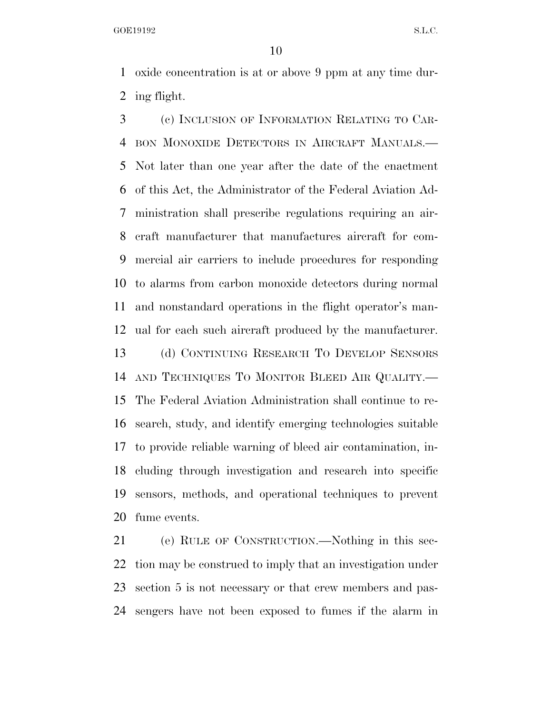GOE19192 S.L.C.

 oxide concentration is at or above 9 ppm at any time dur-ing flight.

 (c) INCLUSION OF INFORMATION RELATING TO CAR- BON MONOXIDE DETECTORS IN AIRCRAFT MANUALS.— Not later than one year after the date of the enactment of this Act, the Administrator of the Federal Aviation Ad- ministration shall prescribe regulations requiring an air- craft manufacturer that manufactures aircraft for com- mercial air carriers to include procedures for responding to alarms from carbon monoxide detectors during normal and nonstandard operations in the flight operator's man-ual for each such aircraft produced by the manufacturer.

 (d) CONTINUING RESEARCH TO DEVELOP SENSORS AND TECHNIQUES TO MONITOR BLEED AIR QUALITY.— The Federal Aviation Administration shall continue to re- search, study, and identify emerging technologies suitable to provide reliable warning of bleed air contamination, in- cluding through investigation and research into specific sensors, methods, and operational techniques to prevent fume events.

 (e) RULE OF CONSTRUCTION.—Nothing in this sec- tion may be construed to imply that an investigation under section 5 is not necessary or that crew members and pas-sengers have not been exposed to fumes if the alarm in